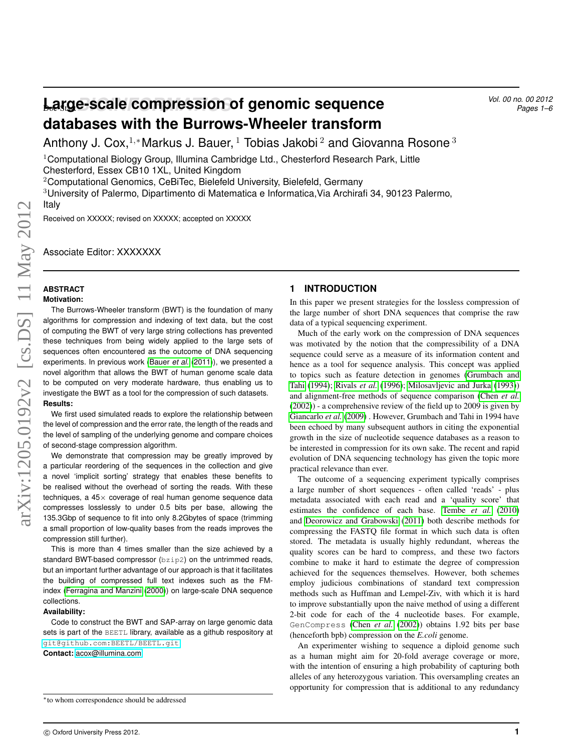# **Large-scale compression of genomic sequence** *Vol. 00 no. 00 2012 Pages 1-6* **databases with the Burrows-Wheeler transform**

Anthony J. Cox,<sup>1,∗</sup>Markus J. Bauer, <sup>1</sup> Tobias Jakobi<sup>2</sup> and Giovanna Rosone<sup>3</sup>

<sup>1</sup>Computational Biology Group, Illumina Cambridge Ltd., Chesterford Research Park, Little Chesterford, Essex CB10 1XL, United Kingdom

<sup>2</sup>Computational Genomics, CeBiTec, Bielefeld University, Bielefeld, Germany

<sup>3</sup>University of Palermo, Dipartimento di Matematica e Informatica,Via Archirafi 34, 90123 Palermo,

#### Italy

Received on XXXXX; revised on XXXXX; accepted on XXXXX

Associate Editor: XXXXXXX

#### **ABSTRACT Motivation:**

The Burrows-Wheeler transform (BWT) is the foundation of many algorithms for compression and indexing of text data, but the cost of computing the BWT of very large string collections has prevented these techniques from being widely applied to the large sets of sequences often encountered as the outcome of DNA sequencing experiments. In previous work [\(Bauer](#page-5-0) *et al.* [\(2011\)](#page-5-0)), we presented a novel algorithm that allows the BWT of human genome scale data to be computed on very moderate hardware, thus enabling us to investigate the BWT as a tool for the compression of such datasets. **Results:**

We first used simulated reads to explore the relationship between the level of compression and the error rate, the length of the reads and the level of sampling of the underlying genome and compare choices of second-stage compression algorithm.

We demonstrate that compression may be greatly improved by a particular reordering of the sequences in the collection and give a novel 'implicit sorting' strategy that enables these benefits to be realised without the overhead of sorting the reads. With these techniques, a  $45\times$  coverage of real human genome sequence data compresses losslessly to under 0.5 bits per base, allowing the 135.3Gbp of sequence to fit into only 8.2Gbytes of space (trimming a small proportion of low-quality bases from the reads improves the compression still further).

This is more than 4 times smaller than the size achieved by a standard BWT-based compressor (bzip2) on the untrimmed reads, but an important further advantage of our approach is that it facilitates the building of compressed full text indexes such as the FMindex [\(Ferragina and Manzini](#page-5-1) [\(2000\)](#page-5-1)) on large-scale DNA sequence collections.

#### **Availability:**

Code to construct the BWT and SAP-array on large genomic data sets is part of the BEETL library, available as a github respository at <git@github.com:BEETL/BEETL.git>.

**Contact:** <acox@illumina.com>

#### **1 INTRODUCTION**

In this paper we present strategies for the lossless compression of the large number of short DNA sequences that comprise the raw data of a typical sequencing experiment.

Much of the early work on the compression of DNA sequences was motivated by the notion that the compressibility of a DNA sequence could serve as a measure of its information content and hence as a tool for sequence analysis. This concept was applied to topics such as feature detection in genomes [\(Grumbach and](#page-5-2) [Tahi](#page-5-2) [\(1994\)](#page-5-2); [Rivals](#page-5-3) *et al.* [\(1996\)](#page-5-3); [Milosavljevic and Jurka](#page-5-4) [\(1993\)](#page-5-4)) and alignment-free methods of sequence comparison [\(Chen](#page-5-5) *et al.* [\(2002\)](#page-5-5)) - a comprehensive review of the field up to 2009 is given by [Giancarlo](#page-5-6) *et al.* [\(2009\)](#page-5-6) . However, Grumbach and Tahi in 1994 have been echoed by many subsequent authors in citing the exponential growth in the size of nucleotide sequence databases as a reason to be interested in compression for its own sake. The recent and rapid evolution of DNA sequencing technology has given the topic more practical relevance than ever.

The outcome of a sequencing experiment typically comprises a large number of short sequences - often called 'reads' - plus metadata associated with each read and a 'quality score' that estimates the confidence of each base. [Tembe](#page-5-7) *et al.* [\(2010\)](#page-5-7) and [Deorowicz and Grabowski](#page-5-8) [\(2011\)](#page-5-8) both describe methods for compressing the FASTQ file format in which such data is often stored. The metadata is usually highly redundant, whereas the quality scores can be hard to compress, and these two factors combine to make it hard to estimate the degree of compression achieved for the sequences themselves. However, both schemes employ judicious combinations of standard text compression methods such as Huffman and Lempel-Ziv, with which it is hard to improve substantially upon the naive method of using a different 2-bit code for each of the 4 nucleotide bases. For example, GenCompress (Chen *[et al.](#page-5-5)* [\(2002\)](#page-5-5)) obtains 1.92 bits per base (henceforth bpb) compression on the *E.coli* genome.

An experimenter wishing to sequence a diploid genome such as a human might aim for 20-fold average coverage or more, with the intention of ensuring a high probability of capturing both alleles of any heterozygous variation. This oversampling creates an opportunity for compression that is additional to any redundancy

<sup>∗</sup>to whom correspondence should be addressed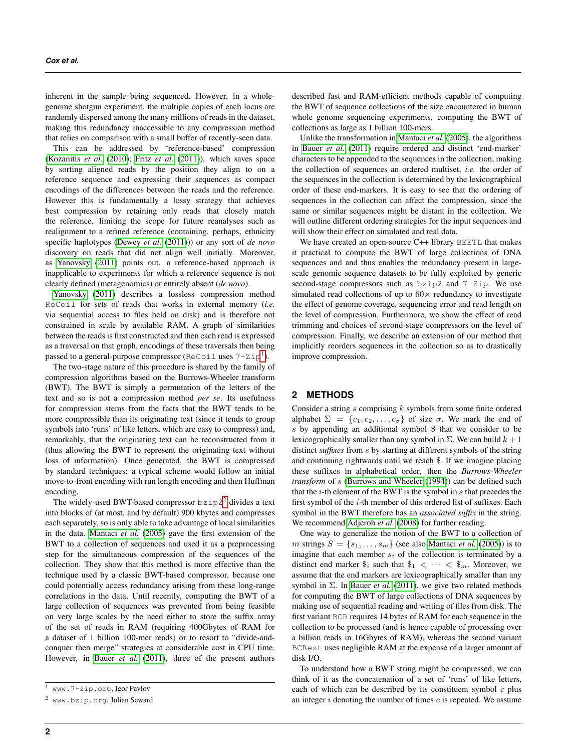inherent in the sample being sequenced. However, in a wholegenome shotgun experiment, the multiple copies of each locus are randomly dispersed among the many millions of reads in the dataset, making this redundancy inaccessible to any compression method that relies on comparison with a small buffer of recently-seen data.

This can be addressed by 'reference-based' compression [\(Kozanitis](#page-5-9) *et al.* [\(2010\)](#page-5-9); Fritz *[et al.](#page-5-10)* [\(2011\)](#page-5-10)), which saves space by sorting aligned reads by the position they align to on a reference sequence and expressing their sequences as compact encodings of the differences between the reads and the reference. However this is fundamentally a lossy strategy that achieves best compression by retaining only reads that closely match the reference, limiting the scope for future reanalyses such as realignment to a refined reference (containing, perhaps, ethnicity specific haplotypes [\(Dewey](#page-5-11) *et al.* [\(2011\)](#page-5-11))) or any sort of *de novo* discovery on reads that did not align well initially. Moreover, as [Yanovsky](#page-5-12) [\(2011\)](#page-5-12) points out, a reference-based approach is inapplicable to experiments for which a reference sequence is not clearly defined (metagenomics) or entirely absent (*de novo*).

[Yanovsky](#page-5-12) [\(2011\)](#page-5-12) describes a lossless compression method ReCoil for sets of reads that works in external memory (*i.e.* via sequential access to files held on disk) and is therefore not constrained in scale by available RAM. A graph of similarities between the reads is first constructed and then each read is expressed as a traversal on that graph, encodings of these traversals then being passed to a general-purpose compressor (ReCoil uses  $7-2ip^1$  $7-2ip^1$ ).

The two-stage nature of this procedure is shared by the family of compression algorithms based on the Burrows-Wheeler transform (BWT). The BWT is simply a permutation of the letters of the text and so is not a compression method *per se*. Its usefulness for compression stems from the facts that the BWT tends to be more compressible than its originating text (since it tends to group symbols into 'runs' of like letters, which are easy to compress) and, remarkably, that the originating text can be reconstructed from it (thus allowing the BWT to represent the originating text without loss of information). Once generated, the BWT is compressed by standard techniques: a typical scheme would follow an initial move-to-front encoding with run length encoding and then Huffman encoding.

The widely-used BWT-based compressor  $b \, \text{size}^2$  $b \, \text{size}^2$  divides a text into blocks of (at most, and by default) 900 kbytes and compresses each separately, so is only able to take advantage of local similarities in the data. [Mantaci](#page-5-13) *et al.* [\(2005\)](#page-5-13) gave the first extension of the BWT to a collection of sequences and used it as a preprocessing step for the simultaneous compression of the sequences of the collection. They show that this method is more effective than the technique used by a classic BWT-based compressor, because one could potentially access redundancy arising from these long-range correlations in the data. Until recently, computing the BWT of a large collection of sequences was prevented from being feasible on very large scales by the need either to store the suffix array of the set of reads in RAM (requiring 400Gbytes of RAM for a dataset of 1 billion 100-mer reads) or to resort to "divide-andconquer then merge" strategies at considerable cost in CPU time. However, in [Bauer](#page-5-0) et al. [\(2011\)](#page-5-0), three of the present authors

described fast and RAM-efficient methods capable of computing the BWT of sequence collections of the size encountered in human whole genome sequencing experiments, computing the BWT of collections as large as 1 billion 100-mers.

Unlike the transformation in [Mantaci](#page-5-13) *et al.* [\(2005\)](#page-5-13), the algorithms in [Bauer](#page-5-0) *et al.* [\(2011\)](#page-5-0) require ordered and distinct 'end-marker' characters to be appended to the sequences in the collection, making the collection of sequences an ordered multiset, *i.e.* the order of the sequences in the collection is determined by the lexicographical order of these end-markers. It is easy to see that the ordering of sequences in the collection can affect the compression, since the same or similar sequences might be distant in the collection. We will outline different ordering strategies for the input sequences and will show their effect on simulated and real data.

We have created an open-source C++ library BEETL that makes it practical to compute the BWT of large collections of DNA sequences and and thus enables the redundancy present in largescale genomic sequence datasets to be fully exploited by generic second-stage compressors such as bzip2 and 7-Zip. We use simulated read collections of up to  $60 \times$  redundancy to investigate the effect of genome coverage, sequencing error and read length on the level of compression. Furthermore, we show the effect of read trimming and choices of second-stage compressors on the level of compression. Finally, we describe an extension of our method that implicitly reorders sequences in the collection so as to drastically improve compression.

## **2 METHODS**

Consider a string  $s$  comprising  $k$  symbols from some finite ordered alphabet  $\Sigma = \{c_1, c_2, \ldots, c_{\sigma}\}\$  of size  $\sigma$ . We mark the end of s by appending an additional symbol \$ that we consider to be lexicographically smaller than any symbol in  $\Sigma$ . We can build  $k+1$ distinct *suffixes* from s by starting at different symbols of the string and continuing rightwards until we reach \$. If we imagine placing these suffixes in alphabetical order, then the *Burrows-Wheeler transform* of s [\(Burrows and Wheeler](#page-5-14) [\(1994\)](#page-5-14)) can be defined such that the  $i$ -th element of the BWT is the symbol in  $s$  that precedes the first symbol of the *i*-th member of this ordered list of suffixes. Each symbol in the BWT therefore has an *associated suffix* in the string. We recommend [Adjeroh](#page-5-15) *et al.* [\(2008\)](#page-5-15) for further reading.

One way to generalize the notion of the BWT to a collection of *m* strings  $S = \{s_1, \ldots, s_m\}$  (see also [Mantaci](#page-5-13) *et al.* [\(2005\)](#page-5-13)) is to imagine that each member  $s_i$  of the collection is terminated by a distinct end marker  $\hat{\mathcal{S}}_i$  such that  $\hat{\mathcal{S}}_1 < \cdots < \hat{\mathcal{S}}_m$ . Moreover, we assume that the end markers are lexicographically smaller than any symbol in  $\Sigma$ . In [Bauer](#page-5-0) *et al.* [\(2011\)](#page-5-0), we give two related methods for computing the BWT of large collections of DNA sequences by making use of sequential reading and writing of files from disk. The first variant BCR requires 14 bytes of RAM for each sequence in the collection to be processed (and is hence capable of processing over a billion reads in 16Gbytes of RAM), whereas the second variant BCRext uses negligible RAM at the expense of a larger amount of disk I/O.

To understand how a BWT string might be compressed, we can think of it as the concatenation of a set of 'runs' of like letters, each of which can be described by its constituent symbol  $c$  plus an integer  $i$  denoting the number of times  $c$  is repeated. We assume

<span id="page-1-0"></span><sup>1</sup> www.7-zip.org, Igor Pavlov

<span id="page-1-1"></span><sup>2</sup> www.bzip.org, Julian Seward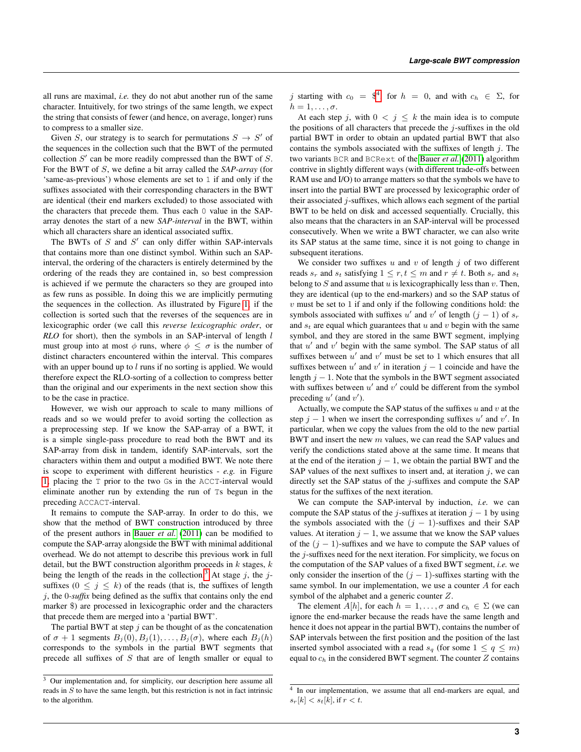all runs are maximal, *i.e.* they do not abut another run of the same character. Intuitively, for two strings of the same length, we expect the string that consists of fewer (and hence, on average, longer) runs to compress to a smaller size.

Given S, our strategy is to search for permutations  $S \rightarrow S'$  of the sequences in the collection such that the BWT of the permuted collection  $S'$  can be more readily compressed than the BWT of  $S$ . For the BWT of S, we define a bit array called the *SAP-array* (for 'same-as-previous') whose elements are set to 1 if and only if the suffixes associated with their corresponding characters in the BWT are identical (their end markers excluded) to those associated with the characters that precede them. Thus each 0 value in the SAParray denotes the start of a new *SAP-interval* in the BWT, within which all characters share an identical associated suffix.

The BWTs of  $S$  and  $S'$  can only differ within SAP-intervals that contains more than one distinct symbol. Within such an SAPinterval, the ordering of the characters is entirely determined by the ordering of the reads they are contained in, so best compression is achieved if we permute the characters so they are grouped into as few runs as possible. In doing this we are implicitly permuting the sequences in the collection. As illustrated by Figure [1,](#page-3-0) if the collection is sorted such that the reverses of the sequences are in lexicographic order (we call this *reverse lexicographic order*, or *RLO* for short), then the symbols in an SAP-interval of length *l* must group into at most  $\phi$  runs, where  $\phi \leq \sigma$  is the number of distinct characters encountered within the interval. This compares with an upper bound up to  $l$  runs if no sorting is applied. We would therefore expect the RLO-sorting of a collection to compress better than the original and our experiments in the next section show this to be the case in practice.

However, we wish our approach to scale to many millions of reads and so we would prefer to avoid sorting the collection as a preprocessing step. If we know the SAP-array of a BWT, it is a simple single-pass procedure to read both the BWT and its SAP-array from disk in tandem, identify SAP-intervals, sort the characters within them and output a modified BWT. We note there is scope to experiment with different heuristics - *e.g.* in Figure [1,](#page-3-0) placing the T prior to the two Gs in the ACCT-interval would eliminate another run by extending the run of Ts begun in the preceding ACCACT-interval.

It remains to compute the SAP-array. In order to do this, we show that the method of BWT construction introduced by three of the present authors in [Bauer](#page-5-0) *et al.* [\(2011\)](#page-5-0) can be modified to compute the SAP-array alongside the BWT with minimal additional overhead. We do not attempt to describe this previous work in full detail, but the BWT construction algorithm proceeds in  $k$  stages,  $k$ being the length of the reads in the collection.<sup>[3](#page-2-0)</sup> At stage  $j$ , the  $j$ suffixes  $(0 \leq j \leq k)$  of the reads (that is, the suffixes of length j, the 0*-suffix* being defined as the suffix that contains only the end marker \$) are processed in lexicographic order and the characters that precede them are merged into a 'partial BWT'.

The partial BWT at step  $j$  can be thought of as the concatenation of  $\sigma + 1$  segments  $B_j(0), B_j(1), \ldots, B_j(\sigma)$ , where each  $B_j(h)$ corresponds to the symbols in the partial BWT segments that precede all suffixes of  $S$  that are of length smaller or equal to

j starting with  $c_0 =$  \$<sup>[4](#page-2-1)</sup>, for  $h = 0$ , and with  $c_h \in \Sigma$ , for  $h=1,\ldots,\sigma.$ 

At each step j, with  $0 \le j \le k$  the main idea is to compute the positions of all characters that precede the  $j$ -suffixes in the old partial BWT in order to obtain an updated partial BWT that also contains the symbols associated with the suffixes of length  $j$ . The two variants BCR and BCRext of the [Bauer](#page-5-0) *et al.* [\(2011\)](#page-5-0) algorithm contrive in slightly different ways (with different trade-offs between RAM use and I/O) to arrange matters so that the symbols we have to insert into the partial BWT are processed by lexicographic order of their associated  $j$ -suffixes, which allows each segment of the partial BWT to be held on disk and accessed sequentially. Crucially, this also means that the characters in an SAP-interval will be processed consecutively. When we write a BWT character, we can also write its SAP status at the same time, since it is not going to change in subsequent iterations.

We consider two suffixes  $u$  and  $v$  of length  $j$  of two different reads  $s_r$  and  $s_t$  satisfying  $1 \leq r, t \leq m$  and  $r \neq t$ . Both  $s_r$  and  $s_t$ belong to  $S$  and assume that  $u$  is lexicographically less than  $v$ . Then, they are identical (up to the end-markers) and so the SAP status of  $v$  must be set to 1 if and only if the following conditions hold: the symbols associated with suffixes u' and v' of length  $(j - 1)$  of  $s_r$ and  $s_t$  are equal which guarantees that u and v begin with the same symbol, and they are stored in the same BWT segment, implying that  $u'$  and  $v'$  begin with the same symbol. The SAP status of all suffixes between  $u'$  and  $v'$  must be set to 1 which ensures that all suffixes between  $u'$  and  $v'$  in iteration  $j - 1$  coincide and have the length  $j - 1$ . Note that the symbols in the BWT segment associated with suffixes between  $u'$  and  $v'$  could be different from the symbol preceding  $u'$  (and  $v'$ ).

Actually, we compute the SAP status of the suffixes  $u$  and  $v$  at the step  $j - 1$  when we insert the corresponding suffixes u' and v'. In particular, when we copy the values from the old to the new partial BWT and insert the new m values, we can read the SAP values and verify the condictions stated above at the same time. It means that at the end of the iteration  $j - 1$ , we obtain the partial BWT and the SAP values of the next suffixes to insert and, at iteration  $j$ , we can directly set the SAP status of the  $j$ -suffixes and compute the SAP status for the suffixes of the next iteration.

We can compute the SAP-interval by induction, *i.e.* we can compute the SAP status of the j-suffixes at iteration  $j - 1$  by using the symbols associated with the  $(j - 1)$ -suffixes and their SAP values. At iteration  $j - 1$ , we assume that we know the SAP values of the  $(j - 1)$ -suffixes and we have to compute the SAP values of the j-suffixes need for the next iteration. For simplicity, we focus on the computation of the SAP values of a fixed BWT segment, *i.e.* we only consider the insertion of the  $(j - 1)$ -suffixes starting with the same symbol. In our implementation, we use a counter A for each symbol of the alphabet and a generic counter Z.

The element  $A[h]$ , for each  $h = 1, \ldots, \sigma$  and  $c_h \in \Sigma$  (we can ignore the end-marker because the reads have the same length and hence it does not appear in the partial BWT), contains the number of SAP intervals between the first position and the position of the last inserted symbol associated with a read  $s_q$  (for some  $1 \le q \le m$ ) equal to  $c_h$  in the considered BWT segment. The counter  $Z$  contains

<span id="page-2-0"></span> $\frac{3}{3}$  Our implementation and, for simplicity, our description here assume all reads in  $S$  to have the same length, but this restriction is not in fact intrinsic to the algorithm.

<span id="page-2-1"></span><sup>&</sup>lt;sup>4</sup> In our implementation, we assume that all end-markers are equal, and  $s_r[k] < s_t[k]$ , if  $r < t$ .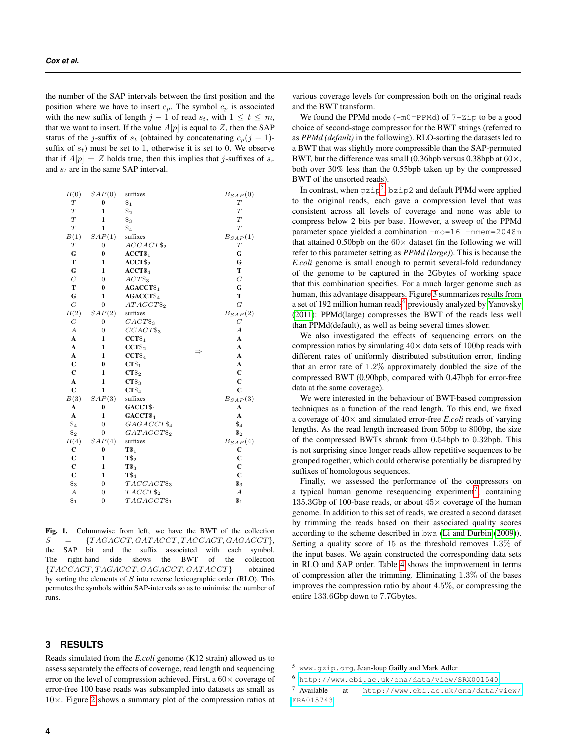the number of the SAP intervals between the first position and the position where we have to insert  $c_p$ . The symbol  $c_p$  is associated with the new suffix of length  $j - 1$  of read  $s_t$ , with  $1 \le t \le m$ , that we want to insert. If the value  $A[p]$  is equal to Z, then the SAP status of the j-suffix of  $s_t$  (obtained by concatenating  $c_p(j-1)$ suffix of  $s_t$ ) must be set to 1, otherwise it is set to 0. We observe that if  $A[p] = Z$  holds true, then this implies that j-suffixes of  $s_r$ and  $s_t$  are in the same SAP interval.

| B(0)             | SAP(0)           | suffixes              | $B_{SAP}(0)$     |
|------------------|------------------|-----------------------|------------------|
| $\boldsymbol{T}$ | $\bf{0}$         | $\$_1$                | $\boldsymbol{T}$ |
| $\boldsymbol{T}$ | $\mathbf{1}$     | $\$_2$                | $\overline{T}$   |
| $\cal{T}$        | $\mathbf{1}$     | $\$_{3}$              | T                |
| T                | $\mathbf{1}$     | $\$_4$                | $\overline{T}$   |
| B(1)             | SAP(1)           | suffixes              | $B_{SAP}(1)$     |
| $\boldsymbol{T}$ | $\overline{0}$   | $ACCACT\$_2$          | $\boldsymbol{T}$ |
| G                | $\bf{0}$         | $ACCT\$ <sub>1</sub>  | G                |
| T                | $\mathbf{1}$     | $ACCT\$               | G                |
| G                | $\mathbf{1}$     | $ACCT\$_4$            | T                |
| $\boldsymbol{C}$ | $\overline{0}$   | $ACT\$ <sub>3</sub>   | $\cal C$         |
| T                | $\bf{0}$         | $AGACCT\$_1$          | G                |
| $\mathbf G$      | 1                | $AGACCT\$_4$          | T                |
| G                | $\boldsymbol{0}$ | $ATACCT\$_2$          | $\overline{G}$   |
| B(2)             | SAP(2)           | suffixes              | $B_{SAP}(2)$     |
| C                | $\overline{0}$   | $CACT\$_3$            | $\,C$            |
| $\boldsymbol{A}$ | $\overline{0}$   | $CCACT\$ <sub>3</sub> | $\boldsymbol{A}$ |
| $\mathbf A$      | 1                | $CCT\$_1$             | $\mathbf{A}$     |
| $\mathbf{A}$     | 1                | $CCT\$_2$             | $\mathbf{A}$     |
| $\mathbf A$      | 1                | $CCT\$_4$             | $\mathbf{A}$     |
| $\mathbf{C}$     | $\bf{0}$         | $CT\$ <sub>1</sub>    | A                |
| $\mathbf{C}$     | 1                | $CT\$_2$              | $\mathbf{C}$     |
| $\mathbf{A}$     | 1                | $CT\$                 | $\mathbf C$      |
| $\mathbf C$      | $\mathbf{1}$     | $CT\$_4$              | $\overline{c}$   |
| B(3)             | SAP(3)           | suffixes              | $B_{SAP}(3)$     |
| A                | $\bf{0}$         | GACCT <sub>\$1</sub>  | A                |
| $\mathbf A$      | $\mathbf{1}$     | GACCT <sub>\$4</sub>  | $\mathbf{A}$     |
| $\$_4$           | $\overline{0}$   | $GAGACCT\$_4$         | $\$_4$           |
| $\$_2$           | $\overline{0}$   | $GATACCT\$_2$         | $\$_2$           |
| B(4)             | SAP(4)           | suffixes              | $B_{SAP}(4)$     |
| $\mathbf C$      | $\bf{0}$         | $T\$_1$               | С                |
| $\mathbf C$      | $\mathbf{1}$     | $T\$ <sub>2</sub>     | $\overline{c}$   |
| $\mathbf C$      | $\mathbf{1}$     | $\mathbf{T}\$_3$      | $\mathbf C$      |
| $\mathbf{C}$     | $\mathbf{1}$     | $T\$_4$               | $\mathbf{C}$     |
| $\$_3$           | $\overline{0}$   | $TACCACT\$_3$         | $\$_3$           |
| $\boldsymbol{A}$ | $\boldsymbol{0}$ | $TACCT\$_2$           | $\boldsymbol{A}$ |
| $\$_1$           | 0                | $TAGACCT\$_1$         | $\$_1$           |
|                  |                  |                       |                  |

<span id="page-3-0"></span>Fig. 1. Columnwise from left, we have the BWT of the collection  $S = \{TAGACCT, GATACCT, TACCACT, GAGACCT\},\$ the SAP bit and the suffix associated with each symbol. The right-hand side shows the BWT of the collection  ${TACCACT, TAGACCT, GAGACCT, GATACCT}$  obtained by sorting the elements of  $S$  into reverse lexicographic order (RLO). This permutes the symbols within SAP-intervals so as to minimise the number of runs.

# **3 RESULTS**

Reads simulated from the *E.coli* genome (K12 strain) allowed us to assess separately the effects of coverage, read length and sequencing error on the level of compression achieved. First, a  $60 \times$  coverage of error-free 100 base reads was subsampled into datasets as small as 10×. Figure [2](#page-4-0) shows a summary plot of the compression ratios at

various coverage levels for compression both on the original reads and the BWT transform.

We found the PPMd mode  $(-m0=PPMd)$  of  $7-zip$  to be a good choice of second-stage compressor for the BWT strings (referred to as *PPMd (default)* in the following). RLO-sorting the datasets led to a BWT that was slightly more compressible than the SAP-permuted BWT, but the difference was small (0.36bpb versus 0.38bpb at  $60\times$ , both over 30% less than the 0.55bpb taken up by the compressed BWT of the unsorted reads).

In contrast, when  $gzip^5$  $gzip^5$ ,  $bzip2$  and default PPMd were applied to the original reads, each gave a compression level that was consistent across all levels of coverage and none was able to compress below 2 bits per base. However, a sweep of the PPMd parameter space yielded a combination -mo=16 -mmem=2048m that attained 0.50bpb on the  $60\times$  dataset (in the following we will refer to this parameter setting as *PPMd (large)*). This is because the *E.coli* genome is small enough to permit several-fold redundancy of the genome to be captured in the 2Gbytes of working space that this combination specifies. For a much larger genome such as human, this advantage disappears. Figure [3](#page-4-1) summarizes results from a set of 192 million human reads<sup>[6](#page-3-2)</sup> previously analyzed by [Yanovsky](#page-5-12) [\(2011\)](#page-5-12): PPMd(large) compresses the BWT of the reads less well than PPMd(default), as well as being several times slower.

We also investigated the effects of sequencing errors on the compression ratios by simulating  $40 \times$  data sets of 100 bp reads with different rates of uniformly distributed substitution error, finding that an error rate of 1.2% approximately doubled the size of the compressed BWT (0.90bpb, compared with 0.47bpb for error-free data at the same coverage).

We were interested in the behaviour of BWT-based compression techniques as a function of the read length. To this end, we fixed a coverage of 40× and simulated error-free *E.coli* reads of varying lengths. As the read length increased from 50bp to 800bp, the size of the compressed BWTs shrank from 0.54bpb to 0.32bpb. This is not surprising since longer reads allow repetitive sequences to be grouped together, which could otherwise potentially be disrupted by suffixes of homologous sequences.

Finally, we assessed the performance of the compressors on a typical human genome resequencing experiment<sup>[7](#page-3-3)</sup>, containing 135.3Gbp of 100-base reads, or about  $45\times$  coverage of the human genome. In addition to this set of reads, we created a second dataset by trimming the reads based on their associated quality scores according to the scheme described in bwa [\(Li and Durbin](#page-5-16) [\(2009\)](#page-5-16)). Setting a quality score of 15 as the threshold removes 1.3% of the input bases. We again constructed the corresponding data sets in RLO and SAP order. Table [4](#page-4-2) shows the improvement in terms of compression after the trimming. Eliminating 1.3% of the bases improves the compression ratio by about 4.5%, or compressing the entire 133.6Gbp down to 7.7Gbytes.

<span id="page-3-1"></span><sup>5</sup> www.gzip.org, Jean-loup Gailly and Mark Adler

<span id="page-3-2"></span><sup>6</sup> <http://www.ebi.ac.uk/ena/data/view/SRX001540>

<span id="page-3-3"></span><sup>7</sup> Available at [http://www.ebi.ac.uk/ena/data/view/](http://www.ebi.ac.uk/ena/data/view/ERA015743) [ERA015743](http://www.ebi.ac.uk/ena/data/view/ERA015743)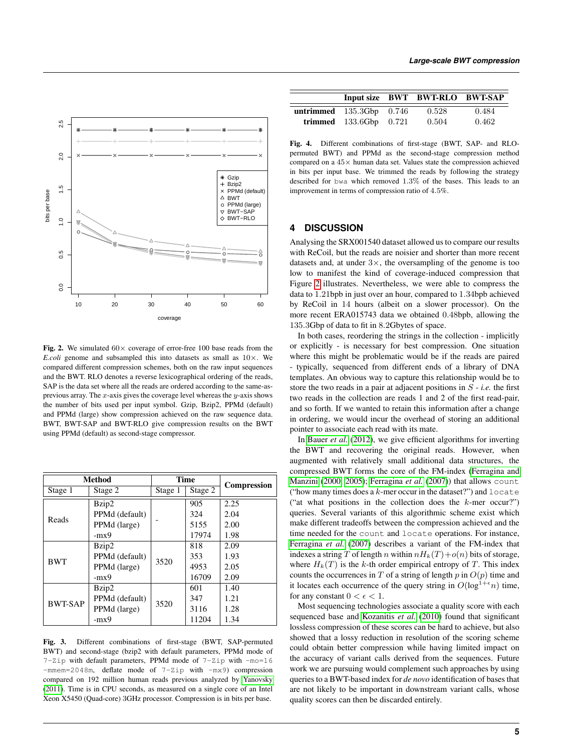

<span id="page-4-0"></span>Fig. 2. We simulated  $60 \times$  coverage of error-free 100 base reads from the *E.coli* genome and subsampled this into datasets as small as  $10 \times$ . We compared different compression schemes, both on the raw input sequences and the BWT. RLO denotes a reverse lexicographical ordering of the reads, SAP is the data set where all the reads are ordered according to the same-asprevious array. The  $x$ -axis gives the coverage level whereas the  $y$ -axis shows the number of bits used per input symbol. Gzip, Bzip2, PPMd (default) and PPMd (large) show compression achieved on the raw sequence data. BWT, BWT-SAP and BWT-RLO give compression results on the BWT using PPMd (default) as second-stage compressor.

|                | <b>Method</b>  | <b>Time</b> |         |                    |
|----------------|----------------|-------------|---------|--------------------|
| Stage 1        | Stage 2        | Stage 1     | Stage 2 | <b>Compression</b> |
|                | Bzip2          |             | 905     | 2.25               |
| Reads          | PPMd (default) |             | 324     | 2.04               |
|                | PPMd (large)   |             | 5155    | 2.00               |
|                | $-mx9$         |             | 17974   | 1.98               |
|                | Bzip2          | 3520        | 818     | 2.09               |
| <b>BWT</b>     | PPMd (default) |             | 353     | 1.93               |
|                | PPMd (large)   |             | 4953    | 2.05               |
|                | $-mx9$         |             | 16709   | 2.09               |
|                | Bzip2          |             | 601     | 1.40               |
| <b>BWT-SAP</b> | PPMd (default) | 3520        | 347     | 1.21               |
|                | PPMd (large)   |             | 3116    | 1.28               |
|                | $-mx9$         |             | 11204   | 1.34               |

<span id="page-4-1"></span>Fig. 3. Different combinations of first-stage (BWT, SAP-permuted BWT) and second-stage (bzip2 with default parameters, PPMd mode of 7-Zip with default parameters, PPMd mode of 7-Zip with -mo=16 -mmem=2048m, deflate mode of 7-Zip with -mx9) compression compared on 192 million human reads previous analyzed by [Yanovsky](#page-5-12) [\(2011\)](#page-5-12). Time is in CPU seconds, as measured on a single core of an Intel Xeon X5450 (Quad-core) 3GHz processor. Compression is in bits per base.

|                            |                            | Input size BWT BWT-RLO BWT-SAP |       |
|----------------------------|----------------------------|--------------------------------|-------|
| untrimmed $135.3Gbp$ 0.746 |                            | 0.528                          | 0.484 |
|                            | trimmed $133.6Gbp$ $0.721$ | 0.504                          | 0.462 |

<span id="page-4-2"></span>Fig. 4. Different combinations of first-stage (BWT, SAP- and RLOpermuted BWT) and PPMd as the second-stage compression method compared on a 45× human data set. Values state the compression achieved in bits per input base. We trimmed the reads by following the strategy described for bwa which removed 1.3% of the bases. This leads to an improvement in terms of compression ratio of 4.5%.

#### **4 DISCUSSION**

Analysing the SRX001540 dataset allowed us to compare our results with ReCoil, but the reads are noisier and shorter than more recent datasets and, at under  $3\times$ , the oversampling of the genome is too low to manifest the kind of coverage-induced compression that Figure [2](#page-4-0) illustrates. Nevertheless, we were able to compress the data to 1.21bpb in just over an hour, compared to 1.34bpb achieved by ReCoil in 14 hours (albeit on a slower processor). On the more recent ERA015743 data we obtained 0.48bpb, allowing the 135.3Gbp of data to fit in 8.2Gbytes of space.

In both cases, reordering the strings in the collection - implicitly or explicitly - is necessary for best compression. One situation where this might be problematic would be if the reads are paired - typically, sequenced from different ends of a library of DNA templates. An obvious way to capture this relationship would be to store the two reads in a pair at adjacent positions in  $S$  - *i.e.* the first two reads in the collection are reads 1 and 2 of the first read-pair, and so forth. If we wanted to retain this information after a change in ordering, we would incur the overhead of storing an additional pointer to associate each read with its mate.

In [Bauer](#page-5-17) *et al.* [\(2012\)](#page-5-17), we give efficient algorithms for inverting the BWT and recovering the original reads. However, when augmented with relatively small additional data structures, the compressed BWT forms the core of the FM-index [\(Ferragina and](#page-5-1) [Manzini](#page-5-1) [\(2000,](#page-5-1) [2005\)](#page-5-18); [Ferragina](#page-5-19) *et al.* [\(2007\)](#page-5-19)) that allows count ("how many times does a  $k$ -mer occur in the dataset?") and locate ("at what positions in the collection does the  $k$ -mer occur?") queries. Several variants of this algorithmic scheme exist which make different tradeoffs between the compression achieved and the time needed for the count and locate operations. For instance, [Ferragina](#page-5-19) *et al.* [\(2007\)](#page-5-19) describes a variant of the FM-index that indexes a string T of length n within  $nH_k(T)+o(n)$  bits of storage, where  $H_k(T)$  is the k-th order empirical entropy of T. This index counts the occurrences in  $T$  of a string of length  $p$  in  $O(p)$  time and it locates each occurrence of the query string in  $O(\log^{1+\epsilon} n)$  time, for any constant  $0 < \epsilon < 1$ .

Most sequencing technologies associate a quality score with each sequenced base and [Kozanitis](#page-5-9) *et al.* [\(2010\)](#page-5-9) found that significant lossless compression of these scores can be hard to achieve, but also showed that a lossy reduction in resolution of the scoring scheme could obtain better compression while having limited impact on the accuracy of variant calls derived from the sequences. Future work we are pursuing would complement such approaches by using queries to a BWT-based index for *de novo* identification of bases that are not likely to be important in downstream variant calls, whose quality scores can then be discarded entirely.